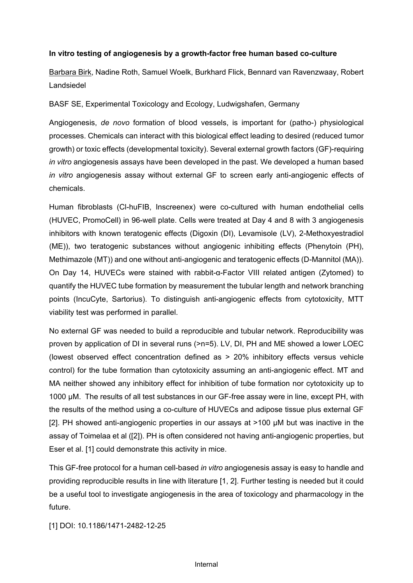## **In vitro testing of angiogenesis by a growth-factor free human based co-culture**

Barbara Birk, Nadine Roth, Samuel Woelk, Burkhard Flick, Bennard van Ravenzwaay, Robert Landsiedel

BASF SE, Experimental Toxicology and Ecology, Ludwigshafen, Germany

Angiogenesis, *de novo* formation of blood vessels, is important for (patho-) physiological processes. Chemicals can interact with this biological effect leading to desired (reduced tumor growth) or toxic effects (developmental toxicity). Several external growth factors (GF)-requiring *in vitro* angiogenesis assays have been developed in the past. We developed a human based *in vitro* angiogenesis assay without external GF to screen early anti-angiogenic effects of chemicals.

Human fibroblasts (Cl-huFIB, Inscreenex) were co-cultured with human endothelial cells (HUVEC, PromoCell) in 96-well plate. Cells were treated at Day 4 and 8 with 3 angiogenesis inhibitors with known teratogenic effects (Digoxin (DI), Levamisole (LV), 2-Methoxyestradiol (ME)), two teratogenic substances without angiogenic inhibiting effects (Phenytoin (PH), Methimazole (MT)) and one without anti-angiogenic and teratogenic effects (D-Mannitol (MA)). On Day 14, HUVECs were stained with rabbit-α-Factor VIII related antigen (Zytomed) to quantify the HUVEC tube formation by measurement the tubular length and network branching points (IncuCyte, Sartorius). To distinguish anti-angiogenic effects from cytotoxicity, MTT viability test was performed in parallel.

No external GF was needed to build a reproducible and tubular network. Reproducibility was proven by application of DI in several runs (>n=5). LV, DI, PH and ME showed a lower LOEC (lowest observed effect concentration defined as > 20% inhibitory effects versus vehicle control) for the tube formation than cytotoxicity assuming an anti-angiogenic effect. MT and MA neither showed any inhibitory effect for inhibition of tube formation nor cytotoxicity up to 1000 µM. The results of all test substances in our GF-free assay were in line, except PH, with the results of the method using a co-culture of HUVECs and adipose tissue plus external GF [2]. PH showed anti-angiogenic properties in our assays at  $>100$   $\mu$ M but was inactive in the assay of Toimelaa et al ([2]). PH is often considered not having anti-angiogenic properties, but Eser et al. [1] could demonstrate this activity in mice.

This GF-free protocol for a human cell-based *in vitro* angiogenesis assay is easy to handle and providing reproducible results in line with literature [1, 2]. Further testing is needed but it could be a useful tool to investigate angiogenesis in the area of toxicology and pharmacology in the future.

[1] DOI: 10.1186/1471-2482-12-25